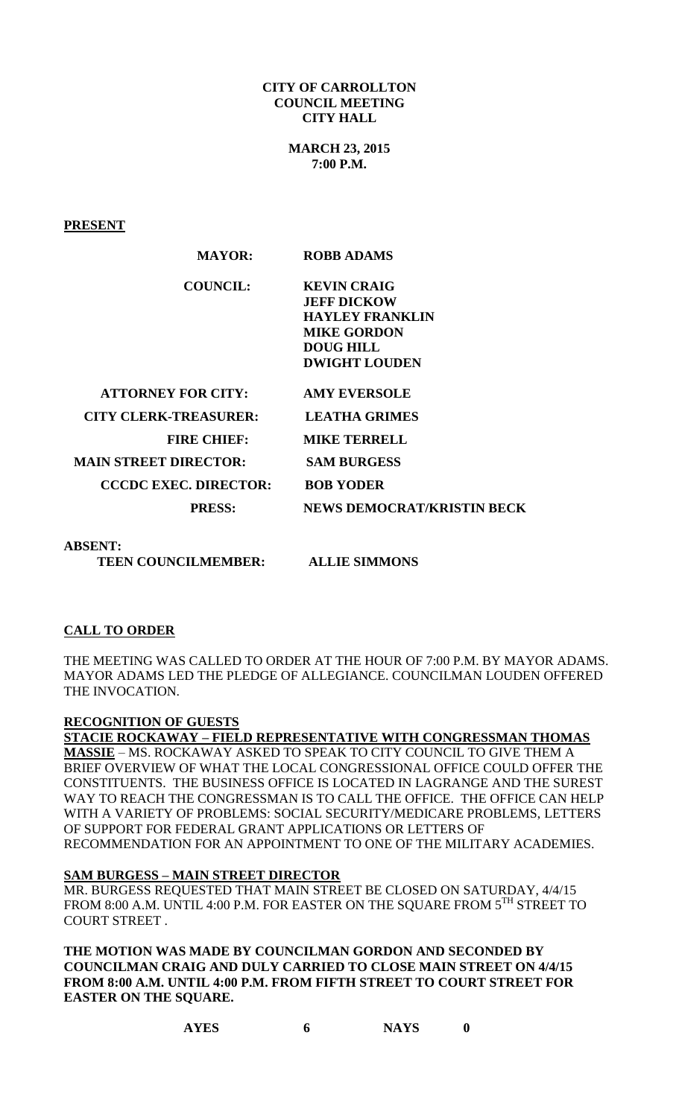#### **CITY OF CARROLLTON COUNCIL MEETING CITY HALL**

**MARCH 23, 2015 7:00 P.M.**

**PRESENT**

| <b>MAYOR:</b>                | <b>ROBB ADAMS</b>                 |
|------------------------------|-----------------------------------|
| <b>COUNCIL:</b>              | <b>KEVIN CRAIG</b>                |
|                              | <b>JEFF DICKOW</b>                |
|                              | <b>HAYLEY FRANKLIN</b>            |
|                              | <b>MIKE GORDON</b>                |
|                              | <b>DOUG HILL</b>                  |
|                              | <b>DWIGHT LOUDEN</b>              |
| <b>ATTORNEY FOR CITY:</b>    | <b>AMY EVERSOLE</b>               |
| <b>CITY CLERK-TREASURER:</b> | <b>LEATHA GRIMES</b>              |
| <b>FIRE CHIEF:</b>           | <b>MIKE TERRELL</b>               |
| <b>MAIN STREET DIRECTOR:</b> | <b>SAM BURGESS</b>                |
| <b>CCCDC EXEC. DIRECTOR:</b> | <b>BOB YODER</b>                  |
| <b>PRESS:</b>                | <b>NEWS DEMOCRAT/KRISTIN BECK</b> |
| <b>ABSENT:</b>               |                                   |

 **TEEN COUNCILMEMBER: ALLIE SIMMONS** 

### **CALL TO ORDER**

THE MEETING WAS CALLED TO ORDER AT THE HOUR OF 7:00 P.M. BY MAYOR ADAMS. MAYOR ADAMS LED THE PLEDGE OF ALLEGIANCE. COUNCILMAN LOUDEN OFFERED THE INVOCATION.

### **RECOGNITION OF GUESTS**

**STACIE ROCKAWAY – FIELD REPRESENTATIVE WITH CONGRESSMAN THOMAS MASSIE** – MS. ROCKAWAY ASKED TO SPEAK TO CITY COUNCIL TO GIVE THEM A BRIEF OVERVIEW OF WHAT THE LOCAL CONGRESSIONAL OFFICE COULD OFFER THE CONSTITUENTS. THE BUSINESS OFFICE IS LOCATED IN LAGRANGE AND THE SUREST WAY TO REACH THE CONGRESSMAN IS TO CALL THE OFFICE. THE OFFICE CAN HELP WITH A VARIETY OF PROBLEMS: SOCIAL SECURITY/MEDICARE PROBLEMS, LETTERS OF SUPPORT FOR FEDERAL GRANT APPLICATIONS OR LETTERS OF RECOMMENDATION FOR AN APPOINTMENT TO ONE OF THE MILITARY ACADEMIES.

### **SAM BURGESS – MAIN STREET DIRECTOR**

MR. BURGESS REQUESTED THAT MAIN STREET BE CLOSED ON SATURDAY, 4/4/15 FROM 8:00 A.M. UNTIL 4:00 P.M. FOR EASTER ON THE SQUARE FROM  $5^{\text{TH}}$  STREET TO COURT STREET .

**THE MOTION WAS MADE BY COUNCILMAN GORDON AND SECONDED BY COUNCILMAN CRAIG AND DULY CARRIED TO CLOSE MAIN STREET ON 4/4/15 FROM 8:00 A.M. UNTIL 4:00 P.M. FROM FIFTH STREET TO COURT STREET FOR EASTER ON THE SQUARE.**

**AYES 6 NAYS 0**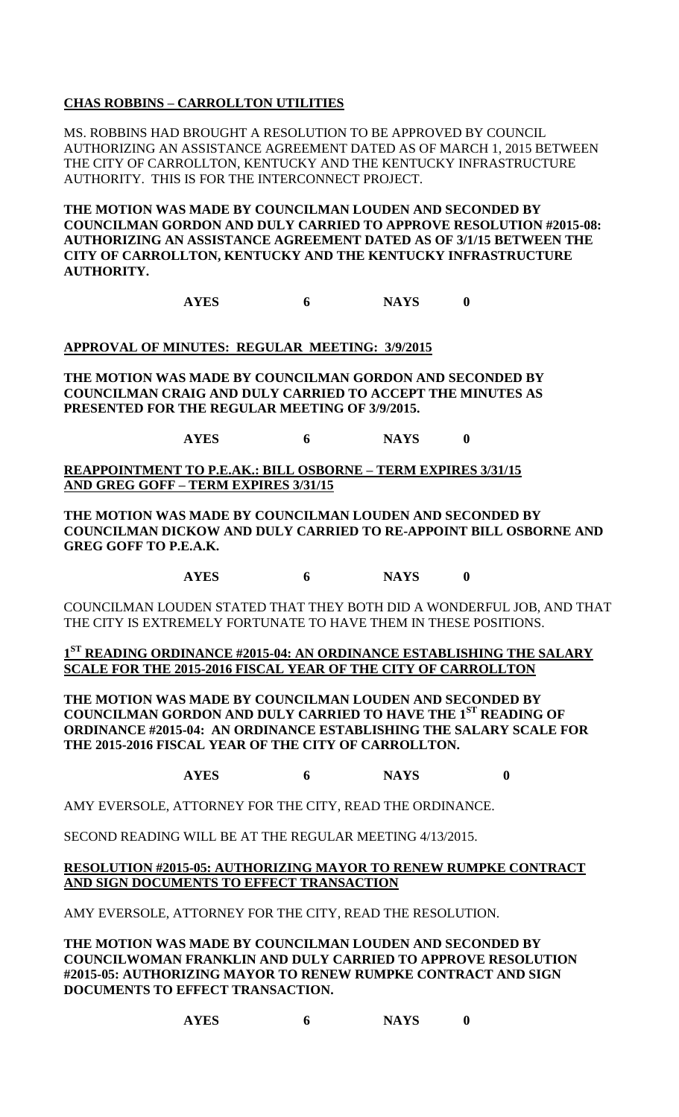# **CHAS ROBBINS – CARROLLTON UTILITIES**

MS. ROBBINS HAD BROUGHT A RESOLUTION TO BE APPROVED BY COUNCIL AUTHORIZING AN ASSISTANCE AGREEMENT DATED AS OF MARCH 1, 2015 BETWEEN THE CITY OF CARROLLTON, KENTUCKY AND THE KENTUCKY INFRASTRUCTURE AUTHORITY. THIS IS FOR THE INTERCONNECT PROJECT.

**THE MOTION WAS MADE BY COUNCILMAN LOUDEN AND SECONDED BY COUNCILMAN GORDON AND DULY CARRIED TO APPROVE RESOLUTION #2015-08: AUTHORIZING AN ASSISTANCE AGREEMENT DATED AS OF 3/1/15 BETWEEN THE CITY OF CARROLLTON, KENTUCKY AND THE KENTUCKY INFRASTRUCTURE AUTHORITY.**

**AYES 6 NAYS 0**

## **APPROVAL OF MINUTES: REGULAR MEETING: 3/9/2015**

**THE MOTION WAS MADE BY COUNCILMAN GORDON AND SECONDED BY COUNCILMAN CRAIG AND DULY CARRIED TO ACCEPT THE MINUTES AS PRESENTED FOR THE REGULAR MEETING OF 3/9/2015.**

**AYES 6 NAYS 0**

**REAPPOINTMENT TO P.E.AK.: BILL OSBORNE – TERM EXPIRES 3/31/15 AND GREG GOFF – TERM EXPIRES 3/31/15**

**THE MOTION WAS MADE BY COUNCILMAN LOUDEN AND SECONDED BY COUNCILMAN DICKOW AND DULY CARRIED TO RE-APPOINT BILL OSBORNE AND GREG GOFF TO P.E.A.K.** 

**AYES 6 NAYS 0**

COUNCILMAN LOUDEN STATED THAT THEY BOTH DID A WONDERFUL JOB, AND THAT THE CITY IS EXTREMELY FORTUNATE TO HAVE THEM IN THESE POSITIONS.

## **1 ST READING ORDINANCE #2015-04: AN ORDINANCE ESTABLISHING THE SALARY SCALE FOR THE 2015-2016 FISCAL YEAR OF THE CITY OF CARROLLTON**

**THE MOTION WAS MADE BY COUNCILMAN LOUDEN AND SECONDED BY COUNCILMAN GORDON AND DULY CARRIED TO HAVE THE 1ST READING OF ORDINANCE #2015-04: AN ORDINANCE ESTABLISHING THE SALARY SCALE FOR THE 2015-2016 FISCAL YEAR OF THE CITY OF CARROLLTON.**

# **AYES 6 NAYS 0**

AMY EVERSOLE, ATTORNEY FOR THE CITY, READ THE ORDINANCE.

SECOND READING WILL BE AT THE REGULAR MEETING 4/13/2015.

### **RESOLUTION #2015-05: AUTHORIZING MAYOR TO RENEW RUMPKE CONTRACT AND SIGN DOCUMENTS TO EFFECT TRANSACTION**

AMY EVERSOLE, ATTORNEY FOR THE CITY, READ THE RESOLUTION.

**THE MOTION WAS MADE BY COUNCILMAN LOUDEN AND SECONDED BY COUNCILWOMAN FRANKLIN AND DULY CARRIED TO APPROVE RESOLUTION #2015-05: AUTHORIZING MAYOR TO RENEW RUMPKE CONTRACT AND SIGN DOCUMENTS TO EFFECT TRANSACTION.**

**AYES 6 NAYS 0**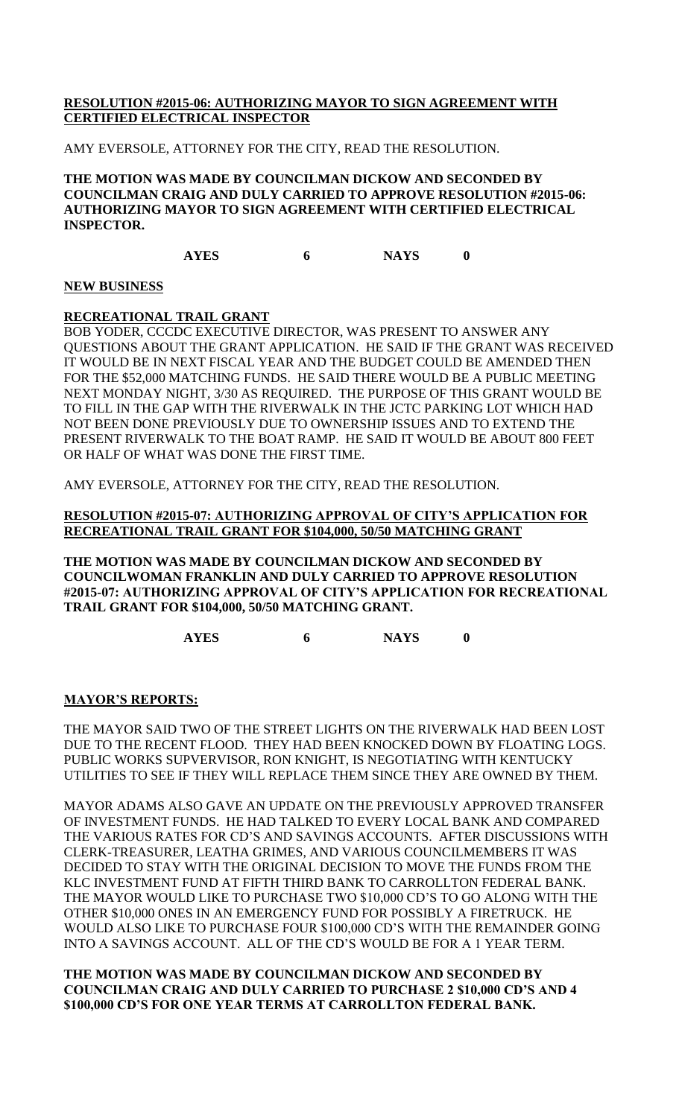## **RESOLUTION #2015-06: AUTHORIZING MAYOR TO SIGN AGREEMENT WITH CERTIFIED ELECTRICAL INSPECTOR**

AMY EVERSOLE, ATTORNEY FOR THE CITY, READ THE RESOLUTION.

**THE MOTION WAS MADE BY COUNCILMAN DICKOW AND SECONDED BY COUNCILMAN CRAIG AND DULY CARRIED TO APPROVE RESOLUTION #2015-06: AUTHORIZING MAYOR TO SIGN AGREEMENT WITH CERTIFIED ELECTRICAL INSPECTOR.** 

**AYES 6 NAYS 0**

### **NEW BUSINESS**

### **RECREATIONAL TRAIL GRANT**

BOB YODER, CCCDC EXECUTIVE DIRECTOR, WAS PRESENT TO ANSWER ANY QUESTIONS ABOUT THE GRANT APPLICATION. HE SAID IF THE GRANT WAS RECEIVED IT WOULD BE IN NEXT FISCAL YEAR AND THE BUDGET COULD BE AMENDED THEN FOR THE \$52,000 MATCHING FUNDS. HE SAID THERE WOULD BE A PUBLIC MEETING NEXT MONDAY NIGHT, 3/30 AS REQUIRED. THE PURPOSE OF THIS GRANT WOULD BE TO FILL IN THE GAP WITH THE RIVERWALK IN THE JCTC PARKING LOT WHICH HAD NOT BEEN DONE PREVIOUSLY DUE TO OWNERSHIP ISSUES AND TO EXTEND THE PRESENT RIVERWALK TO THE BOAT RAMP. HE SAID IT WOULD BE ABOUT 800 FEET OR HALF OF WHAT WAS DONE THE FIRST TIME.

AMY EVERSOLE, ATTORNEY FOR THE CITY, READ THE RESOLUTION.

### **RESOLUTION #2015-07: AUTHORIZING APPROVAL OF CITY'S APPLICATION FOR RECREATIONAL TRAIL GRANT FOR \$104,000, 50/50 MATCHING GRANT**

**THE MOTION WAS MADE BY COUNCILMAN DICKOW AND SECONDED BY COUNCILWOMAN FRANKLIN AND DULY CARRIED TO APPROVE RESOLUTION #2015-07: AUTHORIZING APPROVAL OF CITY'S APPLICATION FOR RECREATIONAL TRAIL GRANT FOR \$104,000, 50/50 MATCHING GRANT.**

**AYES 6 NAYS 0**

### **MAYOR'S REPORTS:**

THE MAYOR SAID TWO OF THE STREET LIGHTS ON THE RIVERWALK HAD BEEN LOST DUE TO THE RECENT FLOOD. THEY HAD BEEN KNOCKED DOWN BY FLOATING LOGS. PUBLIC WORKS SUPVERVISOR, RON KNIGHT, IS NEGOTIATING WITH KENTUCKY UTILITIES TO SEE IF THEY WILL REPLACE THEM SINCE THEY ARE OWNED BY THEM.

MAYOR ADAMS ALSO GAVE AN UPDATE ON THE PREVIOUSLY APPROVED TRANSFER OF INVESTMENT FUNDS. HE HAD TALKED TO EVERY LOCAL BANK AND COMPARED THE VARIOUS RATES FOR CD'S AND SAVINGS ACCOUNTS. AFTER DISCUSSIONS WITH CLERK-TREASURER, LEATHA GRIMES, AND VARIOUS COUNCILMEMBERS IT WAS DECIDED TO STAY WITH THE ORIGINAL DECISION TO MOVE THE FUNDS FROM THE KLC INVESTMENT FUND AT FIFTH THIRD BANK TO CARROLLTON FEDERAL BANK. THE MAYOR WOULD LIKE TO PURCHASE TWO \$10,000 CD'S TO GO ALONG WITH THE OTHER \$10,000 ONES IN AN EMERGENCY FUND FOR POSSIBLY A FIRETRUCK. HE WOULD ALSO LIKE TO PURCHASE FOUR \$100,000 CD'S WITH THE REMAINDER GOING INTO A SAVINGS ACCOUNT. ALL OF THE CD'S WOULD BE FOR A 1 YEAR TERM.

### **THE MOTION WAS MADE BY COUNCILMAN DICKOW AND SECONDED BY COUNCILMAN CRAIG AND DULY CARRIED TO PURCHASE 2 \$10,000 CD'S AND 4 \$100,000 CD'S FOR ONE YEAR TERMS AT CARROLLTON FEDERAL BANK.**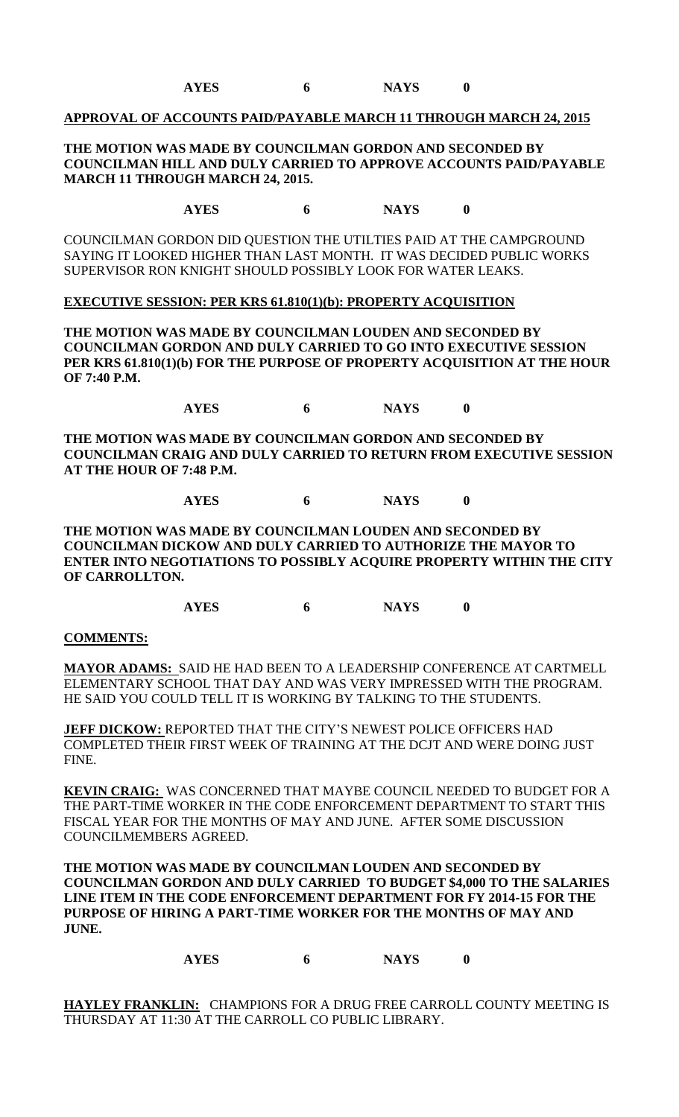**AYES 6 NAYS 0**

#### **APPROVAL OF ACCOUNTS PAID/PAYABLE MARCH 11 THROUGH MARCH 24, 2015**

### **THE MOTION WAS MADE BY COUNCILMAN GORDON AND SECONDED BY COUNCILMAN HILL AND DULY CARRIED TO APPROVE ACCOUNTS PAID/PAYABLE MARCH 11 THROUGH MARCH 24, 2015.**

**AYES 6 NAYS 0**

COUNCILMAN GORDON DID QUESTION THE UTILTIES PAID AT THE CAMPGROUND SAYING IT LOOKED HIGHER THAN LAST MONTH. IT WAS DECIDED PUBLIC WORKS SUPERVISOR RON KNIGHT SHOULD POSSIBLY LOOK FOR WATER LEAKS.

#### **EXECUTIVE SESSION: PER KRS 61.810(1)(b): PROPERTY ACQUISITION**

**THE MOTION WAS MADE BY COUNCILMAN LOUDEN AND SECONDED BY COUNCILMAN GORDON AND DULY CARRIED TO GO INTO EXECUTIVE SESSION PER KRS 61.810(1)(b) FOR THE PURPOSE OF PROPERTY ACQUISITION AT THE HOUR OF 7:40 P.M.**

**AYES 6 NAYS 0**

**THE MOTION WAS MADE BY COUNCILMAN GORDON AND SECONDED BY COUNCILMAN CRAIG AND DULY CARRIED TO RETURN FROM EXECUTIVE SESSION AT THE HOUR OF 7:48 P.M.**

**AYES 6 NAYS 0**

**THE MOTION WAS MADE BY COUNCILMAN LOUDEN AND SECONDED BY COUNCILMAN DICKOW AND DULY CARRIED TO AUTHORIZE THE MAYOR TO ENTER INTO NEGOTIATIONS TO POSSIBLY ACQUIRE PROPERTY WITHIN THE CITY OF CARROLLTON.**

**AYES 6 NAYS 0**

#### **COMMENTS:**

**MAYOR ADAMS:** SAID HE HAD BEEN TO A LEADERSHIP CONFERENCE AT CARTMELL ELEMENTARY SCHOOL THAT DAY AND WAS VERY IMPRESSED WITH THE PROGRAM. HE SAID YOU COULD TELL IT IS WORKING BY TALKING TO THE STUDENTS.

**JEFF DICKOW:** REPORTED THAT THE CITY'S NEWEST POLICE OFFICERS HAD COMPLETED THEIR FIRST WEEK OF TRAINING AT THE DCJT AND WERE DOING JUST FINE.

**KEVIN CRAIG:** WAS CONCERNED THAT MAYBE COUNCIL NEEDED TO BUDGET FOR A THE PART-TIME WORKER IN THE CODE ENFORCEMENT DEPARTMENT TO START THIS FISCAL YEAR FOR THE MONTHS OF MAY AND JUNE. AFTER SOME DISCUSSION COUNCILMEMBERS AGREED.

**THE MOTION WAS MADE BY COUNCILMAN LOUDEN AND SECONDED BY COUNCILMAN GORDON AND DULY CARRIED TO BUDGET \$4,000 TO THE SALARIES LINE ITEM IN THE CODE ENFORCEMENT DEPARTMENT FOR FY 2014-15 FOR THE PURPOSE OF HIRING A PART-TIME WORKER FOR THE MONTHS OF MAY AND JUNE.**

**AYES 6 NAYS 0**

**HAYLEY FRANKLIN:** CHAMPIONS FOR A DRUG FREE CARROLL COUNTY MEETING IS THURSDAY AT 11:30 AT THE CARROLL CO PUBLIC LIBRARY.